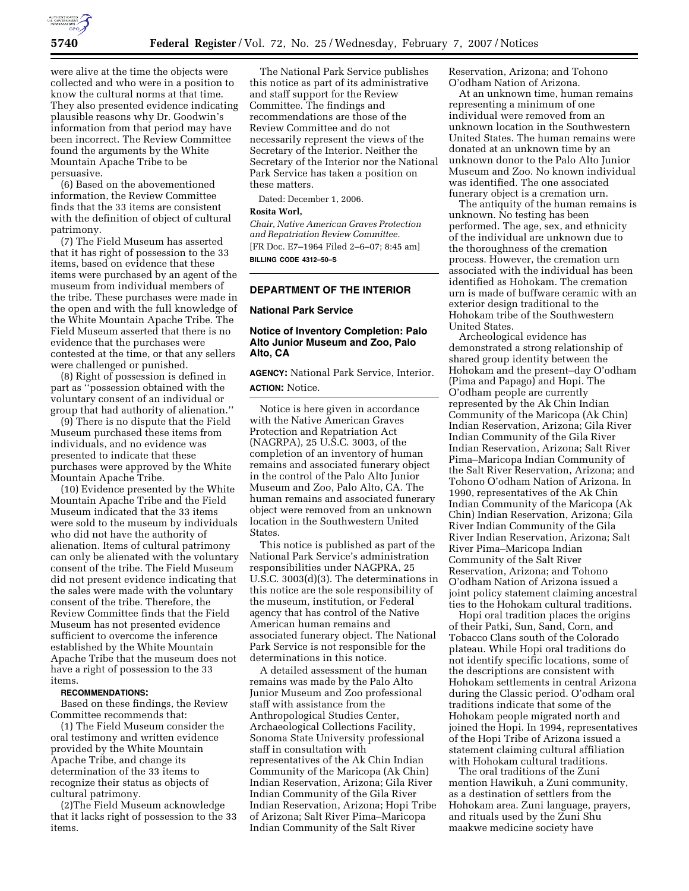

were alive at the time the objects were collected and who were in a position to know the cultural norms at that time. They also presented evidence indicating plausible reasons why Dr. Goodwin's information from that period may have been incorrect. The Review Committee found the arguments by the White Mountain Apache Tribe to be persuasive.

(6) Based on the abovementioned information, the Review Committee finds that the 33 items are consistent with the definition of object of cultural patrimony.

(7) The Field Museum has asserted that it has right of possession to the 33 items, based on evidence that these items were purchased by an agent of the museum from individual members of the tribe. These purchases were made in the open and with the full knowledge of the White Mountain Apache Tribe. The Field Museum asserted that there is no evidence that the purchases were contested at the time, or that any sellers were challenged or punished.

(8) Right of possession is defined in part as ''possession obtained with the voluntary consent of an individual or group that had authority of alienation.''

(9) There is no dispute that the Field Museum purchased these items from individuals, and no evidence was presented to indicate that these purchases were approved by the White Mountain Apache Tribe.

(10) Evidence presented by the White Mountain Apache Tribe and the Field Museum indicated that the 33 items were sold to the museum by individuals who did not have the authority of alienation. Items of cultural patrimony can only be alienated with the voluntary consent of the tribe. The Field Museum did not present evidence indicating that the sales were made with the voluntary consent of the tribe. Therefore, the Review Committee finds that the Field Museum has not presented evidence sufficient to overcome the inference established by the White Mountain Apache Tribe that the museum does not have a right of possession to the 33 items.

#### **RECOMMENDATIONS:**

Based on these findings, the Review Committee recommends that:

(1) The Field Museum consider the oral testimony and written evidence provided by the White Mountain Apache Tribe, and change its determination of the 33 items to recognize their status as objects of cultural patrimony.

(2)The Field Museum acknowledge that it lacks right of possession to the 33 items.

The National Park Service publishes this notice as part of its administrative and staff support for the Review Committee. The findings and recommendations are those of the Review Committee and do not necessarily represent the views of the Secretary of the Interior. Neither the Secretary of the Interior nor the National Park Service has taken a position on these matters.

Dated: December 1, 2006.

### **Rosita Worl,**

*Chair, Native American Graves Protection and Repatriation Review Committee.*  [FR Doc. E7–1964 Filed 2–6–07; 8:45 am] **BILLING CODE 4312–50–S** 

#### **DEPARTMENT OF THE INTERIOR**

#### **National Park Service**

## **Notice of Inventory Completion: Palo Alto Junior Museum and Zoo, Palo Alto, CA**

#### **AGENCY:** National Park Service, Interior.

# **ACTION:** Notice.

Notice is here given in accordance with the Native American Graves Protection and Repatriation Act (NAGRPA), 25 U.S.C. 3003, of the completion of an inventory of human remains and associated funerary object in the control of the Palo Alto Junior Museum and Zoo, Palo Alto, CA. The human remains and associated funerary object were removed from an unknown location in the Southwestern United **States** 

This notice is published as part of the National Park Service's administration responsibilities under NAGPRA, 25 U.S.C. 3003(d)(3). The determinations in this notice are the sole responsibility of the museum, institution, or Federal agency that has control of the Native American human remains and associated funerary object. The National Park Service is not responsible for the determinations in this notice.

A detailed assessment of the human remains was made by the Palo Alto Junior Museum and Zoo professional staff with assistance from the Anthropological Studies Center, Archaeological Collections Facility, Sonoma State University professional staff in consultation with representatives of the Ak Chin Indian Community of the Maricopa (Ak Chin) Indian Reservation, Arizona; Gila River Indian Community of the Gila River Indian Reservation, Arizona; Hopi Tribe of Arizona; Salt River Pima–Maricopa Indian Community of the Salt River

Reservation, Arizona; and Tohono O'odham Nation of Arizona.

At an unknown time, human remains representing a minimum of one individual were removed from an unknown location in the Southwestern United States. The human remains were donated at an unknown time by an unknown donor to the Palo Alto Junior Museum and Zoo. No known individual was identified. The one associated funerary object is a cremation urn.

The antiquity of the human remains is unknown. No testing has been performed. The age, sex, and ethnicity of the individual are unknown due to the thoroughness of the cremation process. However, the cremation urn associated with the individual has been identified as Hohokam. The cremation urn is made of buffware ceramic with an exterior design traditional to the Hohokam tribe of the Southwestern United States.

Archeological evidence has demonstrated a strong relationship of shared group identity between the Hohokam and the present–day O'odham (Pima and Papago) and Hopi. The O'odham people are currently represented by the Ak Chin Indian Community of the Maricopa (Ak Chin) Indian Reservation, Arizona; Gila River Indian Community of the Gila River Indian Reservation, Arizona; Salt River Pima–Maricopa Indian Community of the Salt River Reservation, Arizona; and Tohono O'odham Nation of Arizona. In 1990, representatives of the Ak Chin Indian Community of the Maricopa (Ak Chin) Indian Reservation, Arizona; Gila River Indian Community of the Gila River Indian Reservation, Arizona; Salt River Pima–Maricopa Indian Community of the Salt River Reservation, Arizona; and Tohono O'odham Nation of Arizona issued a joint policy statement claiming ancestral ties to the Hohokam cultural traditions.

Hopi oral tradition places the origins of their Patki, Sun, Sand, Corn, and Tobacco Clans south of the Colorado plateau. While Hopi oral traditions do not identify specific locations, some of the descriptions are consistent with Hohokam settlements in central Arizona during the Classic period. O'odham oral traditions indicate that some of the Hohokam people migrated north and joined the Hopi. In 1994, representatives of the Hopi Tribe of Arizona issued a statement claiming cultural affiliation with Hohokam cultural traditions.

The oral traditions of the Zuni mention Hawikuh, a Zuni community, as a destination of settlers from the Hohokam area. Zuni language, prayers, and rituals used by the Zuni Shu maakwe medicine society have